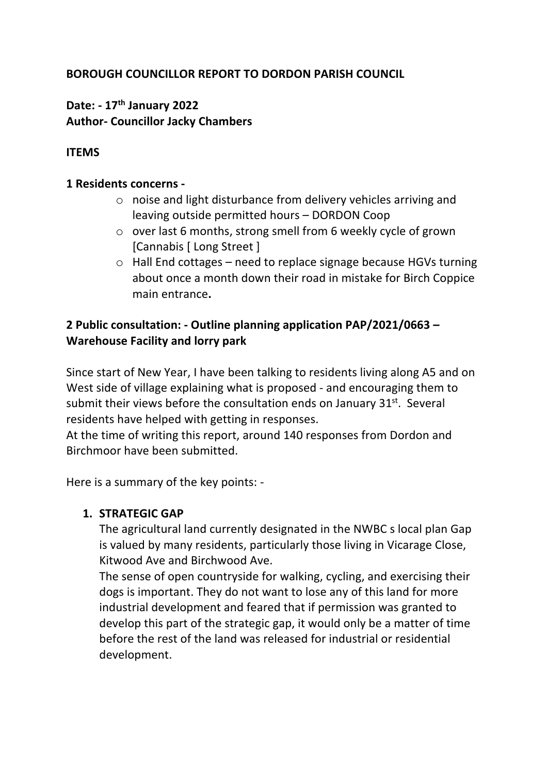# **BOROUGH COUNCILLOR REPORT TO DORDON PARISH COUNCIL**

# **Date: - 17th January 2022 Author- Councillor Jacky Chambers**

### **ITEMS**

#### **1 Residents concerns -**

- o noise and light disturbance from delivery vehicles arriving and leaving outside permitted hours – DORDON Coop
- o over last 6 months, strong smell from 6 weekly cycle of grown [Cannabis [ Long Street ]
- o Hall End cottages need to replace signage because HGVs turning about once a month down their road in mistake for Birch Coppice main entrance**.**

# **2 Public consultation: - Outline planning application PAP/2021/0663 – Warehouse Facility and lorry park**

Since start of New Year, I have been talking to residents living along A5 and on West side of village explaining what is proposed - and encouraging them to submit their views before the consultation ends on January  $31<sup>st</sup>$ . Several residents have helped with getting in responses.

At the time of writing this report, around 140 responses from Dordon and Birchmoor have been submitted.

Here is a summary of the key points: -

### **1. STRATEGIC GAP**

The agricultural land currently designated in the NWBC s local plan Gap is valued by many residents, particularly those living in Vicarage Close, Kitwood Ave and Birchwood Ave.

The sense of open countryside for walking, cycling, and exercising their dogs is important. They do not want to lose any of this land for more industrial development and feared that if permission was granted to develop this part of the strategic gap, it would only be a matter of time before the rest of the land was released for industrial or residential development.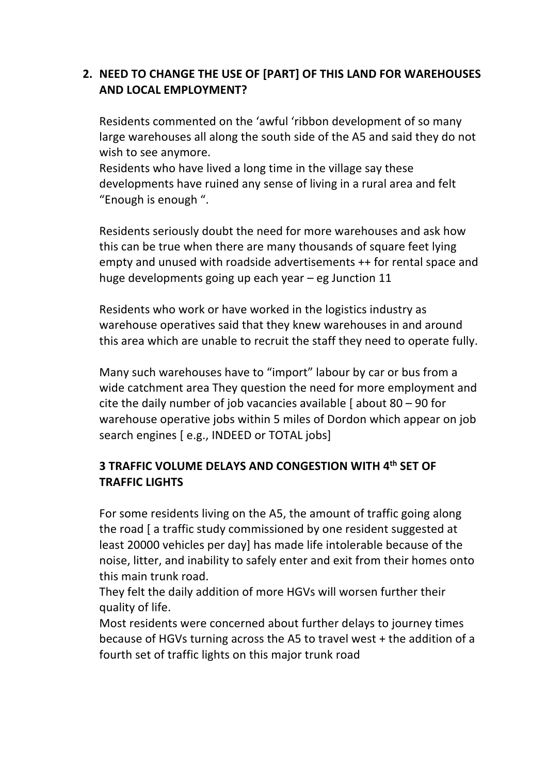## **2. NEED TO CHANGE THE USE OF [PART] OF THIS LAND FOR WAREHOUSES AND LOCAL EMPLOYMENT?**

Residents commented on the 'awful 'ribbon development of so many large warehouses all along the south side of the A5 and said they do not wish to see anymore.

Residents who have lived a long time in the village say these developments have ruined any sense of living in a rural area and felt "Enough is enough ".

Residents seriously doubt the need for more warehouses and ask how this can be true when there are many thousands of square feet lying empty and unused with roadside advertisements ++ for rental space and huge developments going up each year – eg Junction 11

Residents who work or have worked in the logistics industry as warehouse operatives said that they knew warehouses in and around this area which are unable to recruit the staff they need to operate fully.

Many such warehouses have to "import" labour by car or bus from a wide catchment area They question the need for more employment and cite the daily number of job vacancies available  $\int$  about 80 – 90 for warehouse operative jobs within 5 miles of Dordon which appear on job search engines [ e.g., INDEED or TOTAL jobs]

# **3 TRAFFIC VOLUME DELAYS AND CONGESTION WITH 4th SET OF TRAFFIC LIGHTS**

For some residents living on the A5, the amount of traffic going along the road [ a traffic study commissioned by one resident suggested at least 20000 vehicles per day] has made life intolerable because of the noise, litter, and inability to safely enter and exit from their homes onto this main trunk road.

They felt the daily addition of more HGVs will worsen further their quality of life.

Most residents were concerned about further delays to journey times because of HGVs turning across the A5 to travel west + the addition of a fourth set of traffic lights on this major trunk road